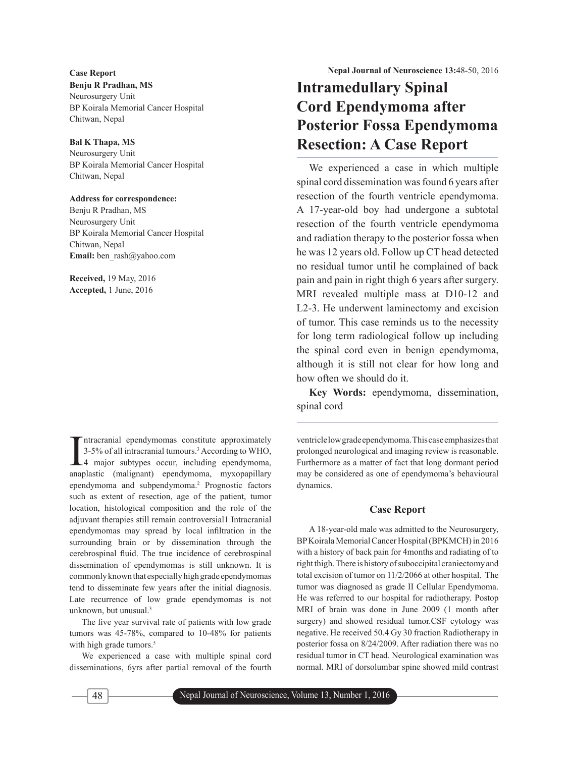**Benju R Pradhan, MS** Neurosurgery Unit BP Koirala Memorial Cancer Hospital Chitwan, Nepal

# **Bal K Thapa, MS**

Neurosurgery Unit BP Koirala Memorial Cancer Hospital Chitwan, Nepal

#### **Address for correspondence:**

Benju R Pradhan, MS Neurosurgery Unit BP Koirala Memorial Cancer Hospital Chitwan, Nepal **Email:** ben\_rash@yahoo.com

**Received,** 19 May, 2016 **Accepted,** 1 June, 2016

Intracranial ependymomas constitute approximately<br>3-5% of all intracranial tumours.<sup>3</sup> According to WHO,<br>4 major subtypes occur, including ependymoma,<br>approaching (malignant) ependymoma mureopoillary. ntracranial ependymomas constitute approximately 3-5% of all intracranial tumours.3 According to WHO, anaplastic (malignant) ependymoma, myxopapillary ependymoma and subpendymoma.2 Prognostic factors such as extent of resection, age of the patient, tumor location, histological composition and the role of the adjuvant therapies still remain controversial1 Intracranial ependymomas may spread by local infiltration in the surrounding brain or by dissemination through the cerebrospinal fluid. The true incidence of cerebrospinal dissemination of ependymomas is still unknown. It is commonly known that especially high grade ependymomas tend to disseminate few years after the initial diagnosis. Late recurrence of low grade ependymomas is not unknown, but unusual.3

The five year survival rate of patients with low grade tumors was 45-78%, compared to 10-48% for patients with high grade tumors.<sup>5</sup>

We experienced a case with multiple spinal cord disseminations, 6yrs after partial removal of the fourth

# **Intramedullary Spinal Cord Ependymoma after Posterior Fossa Ependymoma Resection: A Case Report**

We experienced a case in which multiple spinal cord dissemination was found 6 years after resection of the fourth ventricle ependymoma. A 17-year-old boy had undergone a subtotal resection of the fourth ventricle ependymoma and radiation therapy to the posterior fossa when he was 12 years old. Follow up CT head detected no residual tumor until he complained of back pain and pain in right thigh 6 years after surgery. MRI revealed multiple mass at D10-12 and L2-3. He underwent laminectomy and excision of tumor. This case reminds us to the necessity for long term radiological follow up including the spinal cord even in benign ependymoma, although it is still not clear for how long and how often we should do it.

**Key Words:** ependymoma, dissemination, spinal cord

ventricle low grade ependymoma. This case emphasizes that prolonged neurological and imaging review is reasonable. Furthermore as a matter of fact that long dormant period may be considered as one of ependymoma's behavioural dynamics.

## **Case Report**

A 18-year-old male was admitted to the Neurosurgery, BP Koirala Memorial Cancer Hospital (BPKMCH) in 2016 with a history of back pain for 4months and radiating of to right thigh. There is history of suboccipital craniectomy and total excision of tumor on 11/2/2066 at other hospital. The tumor was diagnosed as grade II Cellular Ependymoma. He was referred to our hospital for radiotherapy. Postop MRI of brain was done in June 2009 (1 month after surgery) and showed residual tumor.CSF cytology was negative. He received 50.4 Gy 30 fraction Radiotherapy in posterior fossa on 8/24/2009. After radiation there was no residual tumor in CT head. Neurological examination was normal. MRI of dorsolumbar spine showed mild contrast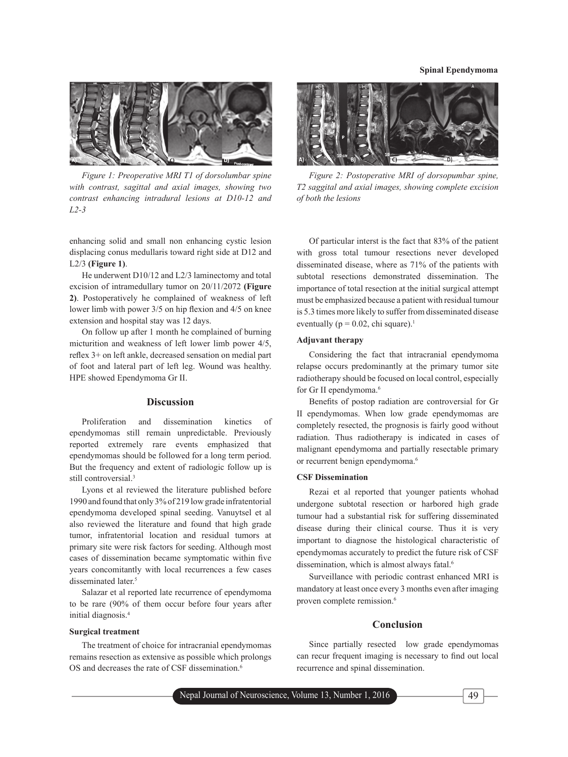

*Figure 1: Preoperative MRI T1 of dorsolumbar spine with contrast, sagittal and axial images, showing two contrast enhancing intradural lesions at D10-12 and L2-3*

enhancing solid and small non enhancing cystic lesion displacing conus medullaris toward right side at D12 and L2/3 **(Figure 1)**.

He underwent D10/12 and L2/3 laminectomy and total excision of intramedullary tumor on 20/11/2072 **(Figure 2)**. Postoperatively he complained of weakness of left lower limb with power 3/5 on hip flexion and 4/5 on knee extension and hospital stay was 12 days.

On follow up after 1 month he complained of burning micturition and weakness of left lower limb power 4/5, reflex 3+ on left ankle, decreased sensation on medial part of foot and lateral part of left leg. Wound was healthy. HPE showed Ependymoma Gr II.

#### **Discussion**

Proliferation and dissemination kinetics of ependymomas still remain unpredictable. Previously reported extremely rare events emphasized that ependymomas should be followed for a long term period. But the frequency and extent of radiologic follow up is still controversial.<sup>3</sup>

Lyons et al reviewed the literature published before 1990 and found that only 3% of 219 low grade infratentorial ependymoma developed spinal seeding. Vanuytsel et al also reviewed the literature and found that high grade tumor, infratentorial location and residual tumors at primary site were risk factors for seeding. Although most cases of dissemination became symptomatic within five years concomitantly with local recurrences a few cases disseminated later.<sup>5</sup>

Salazar et al reported late recurrence of ependymoma to be rare (90% of them occur before four years after initial diagnosis.4

#### **Surgical treatment**

The treatment of choice for intracranial ependymomas remains resection as extensive as possible which prolongs OS and decreases the rate of CSF dissemination.<sup>6</sup>



*Figure 2: Postoperative MRI of dorsopumbar spine, T2 saggital and axial images, showing complete excision of both the lesions* 

Of particular interst is the fact that 83% of the patient with gross total tumour resections never developed disseminated disease, where as 71% of the patients with subtotal resections demonstrated dissemination. The importance of total resection at the initial surgical attempt must be emphasized because a patient with residual tumour is 5.3 times more likely to suffer from disseminated disease eventually ( $p = 0.02$ , chi square).<sup>1</sup>

#### **Adjuvant therapy**

Considering the fact that intracranial ependymoma relapse occurs predominantly at the primary tumor site radiotherapy should be focused on local control, especially for Gr II ependymoma.<sup>6</sup>

Benefits of postop radiation are controversial for Gr II ependymomas. When low grade ependymomas are completely resected, the prognosis is fairly good without radiation. Thus radiotherapy is indicated in cases of malignant ependymoma and partially resectable primary or recurrent benign ependymoma.<sup>6</sup>

#### **CSF Dissemination**

Rezai et al reported that younger patients whohad undergone subtotal resection or harbored high grade tumour had a substantial risk for suffering disseminated disease during their clinical course. Thus it is very important to diagnose the histological characteristic of ependymomas accurately to predict the future risk of CSF dissemination, which is almost always fatal.<sup>6</sup>

Surveillance with periodic contrast enhanced MRI is mandatory at least once every 3 months even after imaging proven complete remission.<sup>6</sup>

# **Conclusion**

Since partially resected low grade ependymomas can recur frequent imaging is necessary to find out local recurrence and spinal dissemination.